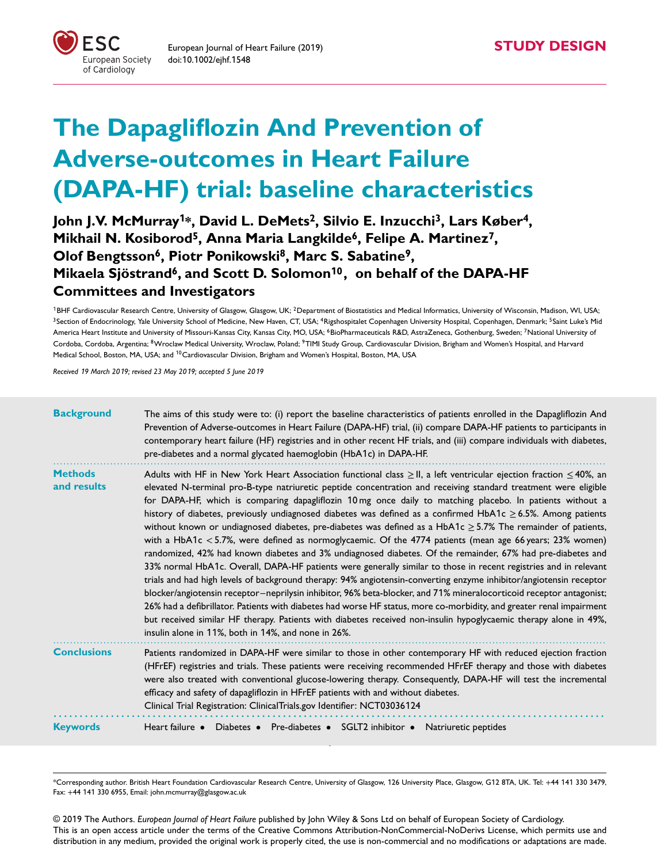# **The Dapagliflozin And Prevention of Adverse-outcomes in Heart Failure (DAPA-HF) trial: baseline characteristics**

**John J.V. McMurray<sup>1</sup>\*, David L. DeMets2, Silvio E. Inzucchi3, Lars Køber4, Mikhail N. Kosiborod5, Anna Maria Langkilde6, Felipe A. Martinez7, Olof Bengtsson6, Piotr Ponikowski8, Marc S. Sabatine9, Mikaela Sjöstrand6, and Scott D. Solomon<sup>1</sup>0, on behalf of the DAPA-HF Committees and Investigators**

<sup>1</sup>BHF Cardiovascular Research Centre, University of Glasgow, Glasgow, UK; <sup>2</sup>Department of Biostatistics and Medical Informatics, University of Wisconsin, Madison, WI, USA; <sup>3</sup> Section of Endocrinology, Yale University School of Medicine, New Haven, CT, USA; <sup>4</sup>Rigshospitalet Copenhagen University Hospital, Copenhagen, Denmark; <sup>5</sup>Saint Luke's Mid America Heart Institute and University of Missouri-Kansas City, Kansas City, MO, USA; <sup>6</sup>BioPharmaceuticals R&D, AstraZeneca, Gothenburg, Sweden; <sup>7</sup>National University of Cordoba, Cordoba, Argentina; 8Wroclaw Medical University, Wroclaw, Poland; 9TIMI Study Group, Cardiovascular Division, Brigham and Women's Hospital, and Harvard Medical School, Boston, MA, USA; and <sup>10</sup>Cardiovascular Division, Brigham and Women's Hospital, Boston, MA, USA

*Received* 1*9 March 20*1*9; revised 23 May 20*1*9; accepted 5 June 20*1*9*

| <b>Background</b>             | The aims of this study were to: (i) report the baseline characteristics of patients enrolled in the Dapagliflozin And<br>Prevention of Adverse-outcomes in Heart Failure (DAPA-HF) trial, (ii) compare DAPA-HF patients to participants in<br>contemporary heart failure (HF) registries and in other recent HF trials, and (iii) compare individuals with diabetes,<br>pre-diabetes and a normal glycated haemoglobin (HbA1c) in DAPA-HF.                                                                                                                                                                                                                                                                                                                                                                                                                                                                                                                                                                                                                                                                                                                                                                                                                                                                                                                                                                                                                                                            |  |  |
|-------------------------------|-------------------------------------------------------------------------------------------------------------------------------------------------------------------------------------------------------------------------------------------------------------------------------------------------------------------------------------------------------------------------------------------------------------------------------------------------------------------------------------------------------------------------------------------------------------------------------------------------------------------------------------------------------------------------------------------------------------------------------------------------------------------------------------------------------------------------------------------------------------------------------------------------------------------------------------------------------------------------------------------------------------------------------------------------------------------------------------------------------------------------------------------------------------------------------------------------------------------------------------------------------------------------------------------------------------------------------------------------------------------------------------------------------------------------------------------------------------------------------------------------------|--|--|
| <b>Methods</b><br>and results | Adults with HF in New York Heart Association functional class $\geq$ II, a left ventricular ejection fraction $\leq$ 40%, an<br>elevated N-terminal pro-B-type natriuretic peptide concentration and receiving standard treatment were eligible<br>for DAPA-HF, which is comparing dapagliflozin 10 mg once daily to matching placebo. In patients without a<br>history of diabetes, previously undiagnosed diabetes was defined as a confirmed HbA1c $\geq$ 6.5%. Among patients<br>without known or undiagnosed diabetes, pre-diabetes was defined as a $HbA1c \geq 5.7\%$ The remainder of patients,<br>with a HbA1c < 5.7%, were defined as normoglycaemic. Of the 4774 patients (mean age 66 years; 23% women)<br>randomized, 42% had known diabetes and 3% undiagnosed diabetes. Of the remainder, 67% had pre-diabetes and<br>33% normal HbA1c. Overall, DAPA-HF patients were generally similar to those in recent registries and in relevant<br>trials and had high levels of background therapy: 94% angiotensin-converting enzyme inhibitor/angiotensin receptor<br>blocker/angiotensin receptor-neprilysin inhibitor, 96% beta-blocker, and 71% mineralocorticoid receptor antagonist;<br>26% had a defibrillator. Patients with diabetes had worse HF status, more co-morbidity, and greater renal impairment<br>but received similar HF therapy. Patients with diabetes received non-insulin hypoglycaemic therapy alone in 49%,<br>insulin alone in 11%, both in 14%, and none in 26%. |  |  |
| <b>Conclusions</b>            | Patients randomized in DAPA-HF were similar to those in other contemporary HF with reduced ejection fraction<br>(HFrEF) registries and trials. These patients were receiving recommended HFrEF therapy and those with diabetes<br>were also treated with conventional glucose-lowering therapy. Consequently, DAPA-HF will test the incremental<br>efficacy and safety of dapagliflozin in HFrEF patients with and without diabetes.<br>Clinical Trial Registration: ClinicalTrials.gov Identifier: NCT03036124                                                                                                                                                                                                                                                                                                                                                                                                                                                                                                                                                                                                                                                                                                                                                                                                                                                                                                                                                                                       |  |  |
| <b>Keywords</b>               | Pre-diabetes • SGLT2 inhibitor • Natriuretic peptides<br>Heart failure $\bullet$<br>Diabetes $\bullet$                                                                                                                                                                                                                                                                                                                                                                                                                                                                                                                                                                                                                                                                                                                                                                                                                                                                                                                                                                                                                                                                                                                                                                                                                                                                                                                                                                                                |  |  |

\*Corresponding author. British Heart Foundation Cardiovascular Research Centre, University of Glasgow, 126 University Place, Glasgow, G12 8TA, UK. Tel: +44 141 330 3479, Fax: +44 141 330 6955, Email: john.mcmurray@glasgow.ac.uk

© 2019 The Authors. *European Journal of Heart Failure* published by John Wiley & Sons Ltd on behalf of European Society of Cardiology. This is an open access article under the terms of the Creative Commons Attribution-NonCommercial-NoDerivs License, which permits use and distribution in any medium, provided the original work is properly cited, the use is non-commercial and no modifications or adaptations are made.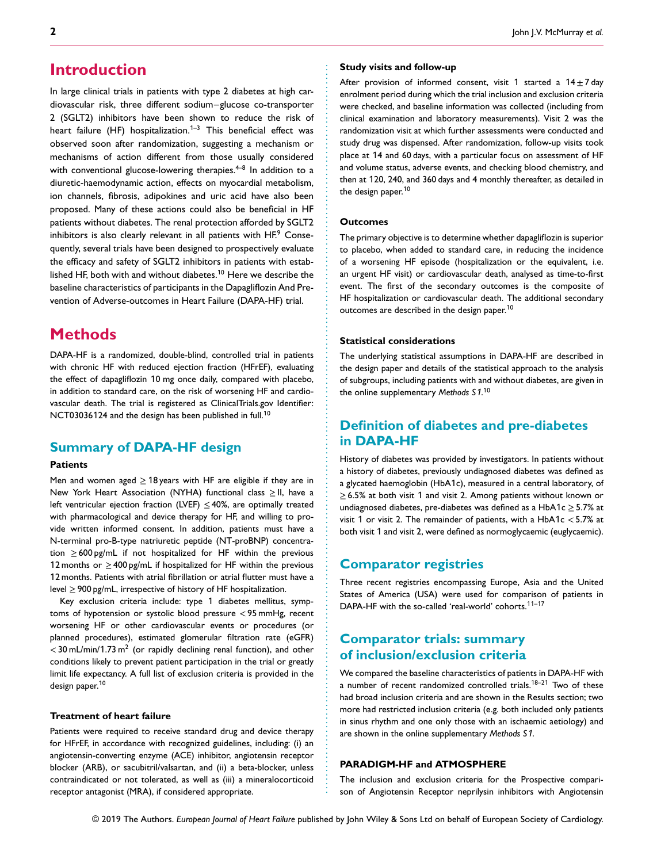# **Introduction**

In large clinical trials in patients with type 2 diabetes at high cardiovascular risk, three different sodium–glucose co-transporter 2 (SGLT2) inhibitors have been shown to reduce the risk of heart failure (HF) hospitalization.<sup>1-3</sup> This beneficial effect was observed soon after randomization, suggesting a mechanism or mechanisms of action different from those usually considered with conventional glucose-lowering therapies. $4-8$  In addition to a diuretic-haemodynamic action, effects on myocardial metabolism, ion channels, fibrosis, adipokines and uric acid have also been proposed. Many of these actions could also be beneficial in HF patients without diabetes. The renal protection afforded by SGLT2 inhibitors is also clearly relevant in all patients with  $HF<sup>9</sup>$  Consequently, several trials have been designed to prospectively evaluate the efficacy and safety of SGLT2 inhibitors in patients with established HF, both with and without diabetes.<sup>1</sup><sup>0</sup> Here we describe the baseline characteristics of participants in the Dapagliflozin And Prevention of Adverse-outcomes in Heart Failure (DAPA-HF) trial.

# **Methods**

DAPA-HF is a randomized, double-blind, controlled trial in patients with chronic HF with reduced ejection fraction (HFrEF), evaluating the effect of dapagliflozin 10 mg once daily, compared with placebo, in addition to standard care, on the risk of worsening HF and cardiovascular death. The trial is registered as ClinicalTrials.gov Identifier: NCT03036124 and the design has been published in full.<sup>10</sup>

## **Summary of DAPA-HF design**

#### **Patients**

Men and women aged  $\geq$  18 years with HF are eligible if they are in New York Heart Association (NYHA) functional class ≥ II, have a left ventricular ejection fraction (LVEF)  $\leq$  40%, are optimally treated with pharmacological and device therapy for HF, and willing to provide written informed consent. In addition, patients must have a N-terminal pro-B-type natriuretic peptide (NT-proBNP) concentration ≥600 pg/mL if not hospitalized for HF within the previous 12 months or  $\geq$  400 pg/mL if hospitalized for HF within the previous 12 months. Patients with atrial fibrillation or atrial flutter must have a level ≥900 pg/mL, irrespective of history of HF hospitalization.

Key exclusion criteria include: type 1 diabetes mellitus, symptoms of hypotension or systolic blood pressure *<*95 mmHg, recent worsening HF or other cardiovascular events or procedures (or planned procedures), estimated glomerular filtration rate (eGFR)  $<$  30 mL/min/1.73 m<sup>2</sup> (or rapidly declining renal function), and other conditions likely to prevent patient participation in the trial or greatly limit life expectancy. A full list of exclusion criteria is provided in the design paper.<sup>10</sup>

#### **Treatment of heart failure**

Patients were required to receive standard drug and device therapy for HFrEF, in accordance with recognized guidelines, including: (i) an angiotensin-converting enzyme (ACE) inhibitor, angiotensin receptor blocker (ARB), or sacubitril/valsartan, and (ii) a beta-blocker, unless contraindicated or not tolerated, as well as (iii) a mineralocorticoid receptor antagonist (MRA), if considered appropriate.

#### **Study visits and follow-up**

After provision of informed consent, visit 1 started a  $14 \pm 7$  day enrolment period during which the trial inclusion and exclusion criteria were checked, and baseline information was collected (including from clinical examination and laboratory measurements). Visit 2 was the randomization visit at which further assessments were conducted and study drug was dispensed. After randomization, follow-up visits took place at 14 and 60 days, with a particular focus on assessment of HF and volume status, adverse events, and checking blood chemistry, and then at 120, 240, and 360 days and 4 monthly thereafter, as detailed in the design paper.<sup>10</sup>

#### **Outcomes**

............................................................... ................................................................ .........................................

The primary objective is to determine whether dapagliflozin is superior to placebo, when added to standard care, in reducing the incidence of a worsening HF episode (hospitalization or the equivalent, i.e. an urgent HF visit) or cardiovascular death, analysed as time-to-first event. The first of the secondary outcomes is the composite of HF hospitalization or cardiovascular death. The additional secondary outcomes are described in the design paper.<sup>10</sup>

#### **Statistical considerations**

The underlying statistical assumptions in DAPA-HF are described in the design paper and details of the statistical approach to the analysis of subgroups, including patients with and without diabetes, are given in the online supplementary *Methods S*1. 10

## **Definition of diabetes and pre-diabetes in DAPA-HF**

History of diabetes was provided by investigators. In patients without a history of diabetes, previously undiagnosed diabetes was defined as a glycated haemoglobin (HbA1c), measured in a central laboratory, of ≥6.5% at both visit 1 and visit 2. Among patients without known or undiagnosed diabetes, pre-diabetes was defined as a HbA1c ≥5.7% at visit 1 or visit 2. The remainder of patients, with a HbA1c *<*5.7% at both visit 1 and visit 2, were defined as normoglycaemic (euglycaemic).

## **Comparator registries**

Three recent registries encompassing Europe, Asia and the United States of America (USA) were used for comparison of patients in DAPA-HF with the so-called 'real-world' cohorts.<sup>11–17</sup>

# **Comparator trials: summary of inclusion/exclusion criteria**

We compared the baseline characteristics of patients in DAPA-HF with a number of recent randomized controlled trials.<sup>18–21</sup> Two of these had broad inclusion criteria and are shown in the Results section; two more had restricted inclusion criteria (e.g. both included only patients in sinus rhythm and one only those with an ischaemic aetiology) and are shown in the online supplementary *Methods S*1.

#### **PARADIGM-HF and ATMOSPHERE**

The inclusion and exclusion criteria for the Prospective comparison of Angiotensin Receptor neprilysin inhibitors with Angiotensin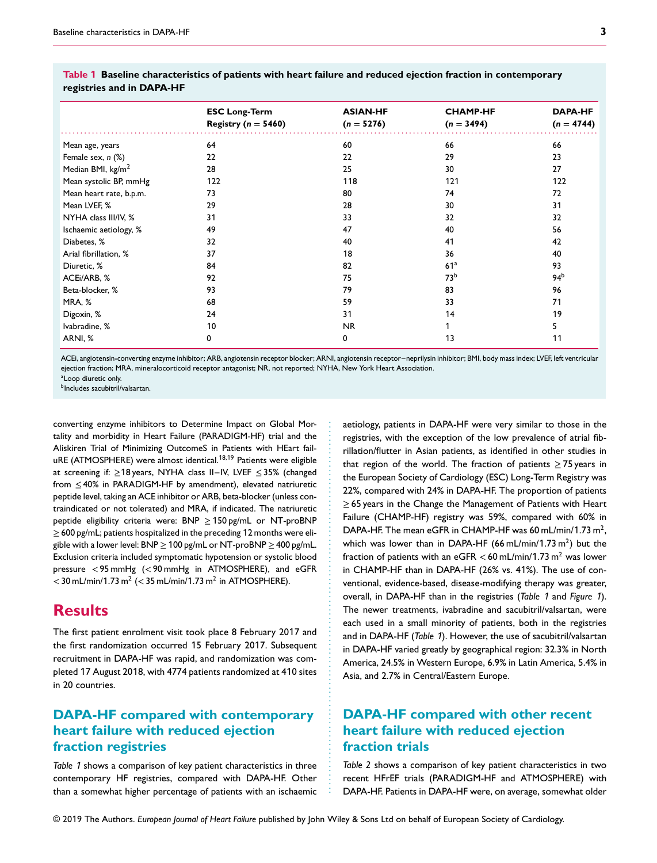|                               | <b>ESC Long-Term</b>    | <b>ASIAN-HF</b> | <b>CHAMP-HF</b> | <b>DAPA-HF</b>  |
|-------------------------------|-------------------------|-----------------|-----------------|-----------------|
|                               | Registry ( $n = 5460$ ) | $(n = 5276)$    | $(n = 3494)$    | $(n = 4744)$    |
|                               |                         |                 |                 |                 |
| Mean age, years               | 64                      | 60              | 66              | 66              |
| Female sex, $n$ $(\%)$        | 22                      | 22              | 29              | 23              |
| Median BMI, kg/m <sup>2</sup> | 28                      | 25              | 30              | 27              |
| Mean systolic BP, mmHg        | 122                     | 118             | 121             | 122             |
| Mean heart rate, b.p.m.       | 73                      | 80              | 74              | 72              |
| Mean LVEF, %                  | 29                      | 28              | 30              | 31              |
| NYHA class III/IV, %          | 31                      | 33              | 32              | 32              |
| Ischaemic aetiology, %        | 49                      | 47              | 40              | 56              |
| Diabetes, %                   | 32                      | 40              | 41              | 42              |
| Arial fibrillation, %         | 37                      | 18              | 36              | 40              |
| Diuretic, %                   | 84                      | 82              | 61 <sup>a</sup> | 93              |
| ACEI/ARB, %                   | 92                      | 75              | 73 <sup>b</sup> | 94 <sup>b</sup> |
| Beta-blocker, %               | 93                      | 79              | 83              | 96              |
| MRA, %                        | 68                      | 59              | 33              | 71              |
| Digoxin, %                    | 24                      | 31              | 14              | 19              |
| Ivabradine, %                 | 10                      | <b>NR</b>       |                 | 5               |
| ARNI, %                       | 0                       | 0               | 13              | 11              |

**Table 1 Baseline characteristics of patients with heart failure and reduced ejection fraction in contemporary registries and in DAPA-HF**

ACEi, angiotensin-converting enzyme inhibitor; ARB, angiotensin receptor blocker; ARNI, angiotensin receptor–neprilysin inhibitor; BMI, body mass index; LVEF, left ventricular ejection fraction; MRA, mineralocorticoid receptor antagonist; NR, not reported; NYHA, New York Heart Association.

............................................. .........................................

<sup>a</sup> Loop diuretic only.

bIncludes sacubitril/valsartan.

converting enzyme inhibitors to Determine Impact on Global Mortality and morbidity in Heart Failure (PARADIGM-HF) trial and the Aliskiren Trial of Minimizing OutcomeS in Patients with HEart failuRE (ATMOSPHERE) were almost identical.<sup>18,19</sup> Patients were eligible at screening if: ≥18 years, NYHA class II–IV, LVEF ≤35% (changed from ≤40% in PARADIGM-HF by amendment), elevated natriuretic peptide level, taking an ACE inhibitor or ARB, beta-blocker (unless contraindicated or not tolerated) and MRA, if indicated. The natriuretic peptide eligibility criteria were: BNP  $\geq$  150 pg/mL or NT-proBNP ≥ 600 pg/mL; patients hospitalized in the preceding 12 months were eligible with a lower level:  $BNP \ge 100$  pg/mL or NT-proBNP  $\ge 400$  pg/mL. Exclusion criteria included symptomatic hypotension or systolic blood pressure *<*95 mmHg (*<*90 mmHg in ATMOSPHERE), and eGFR *<*30 mL/min/1.73 m2 (*<*35 mL/min/1.73 m2 in ATMOSPHERE).

# **Results**

The first patient enrolment visit took place 8 February 2017 and the first randomization occurred 15 February 2017. Subsequent recruitment in DAPA-HF was rapid, and randomization was completed 17 August 2018, with 4774 patients randomized at 410 sites in 20 countries.

# **DAPA-HF compared with contemporary heart failure with reduced ejection fraction registries**

*Table* 1 shows a comparison of key patient characteristics in three contemporary HF registries, compared with DAPA-HF. Other than a somewhat higher percentage of patients with an ischaemic aetiology, patients in DAPA-HF were very similar to those in the registries, with the exception of the low prevalence of atrial fibrillation/flutter in Asian patients, as identified in other studies in that region of the world. The fraction of patients  $\geq$  75 years in the European Society of Cardiology (ESC) Long-Term Registry was 22%, compared with 24% in DAPA-HF. The proportion of patients ≥65 years in the Change the Management of Patients with Heart Failure (CHAMP-HF) registry was 59%, compared with 60% in DAPA-HF. The mean eGFR in CHAMP-HF was 60 mL/min/1.73 m<sup>2</sup>, which was lower than in DAPA-HF  $(66 \text{ mL/min}/1.73 \text{ m}^2)$  but the fraction of patients with an eGFR *<*60 mL/min/1.73 m2 was lower in CHAMP-HF than in DAPA-HF (26% vs. 41%). The use of conventional, evidence-based, disease-modifying therapy was greater, overall, in DAPA-HF than in the registries (*Table* 1 and *Figure* 1). The newer treatments, ivabradine and sacubitril/valsartan, were each used in a small minority of patients, both in the registries and in DAPA-HF (*Table* 1). However, the use of sacubitril/valsartan in DAPA-HF varied greatly by geographical region: 32.3% in North America, 24.5% in Western Europe, 6.9% in Latin America, 5.4% in Asia, and 2.7% in Central/Eastern Europe.

# **DAPA-HF compared with other recent heart failure with reduced ejection fraction trials**

*Table 2* shows a comparison of key patient characteristics in two recent HFrEF trials (PARADIGM-HF and ATMOSPHERE) with DAPA-HF. Patients in DAPA-HF were, on average, somewhat older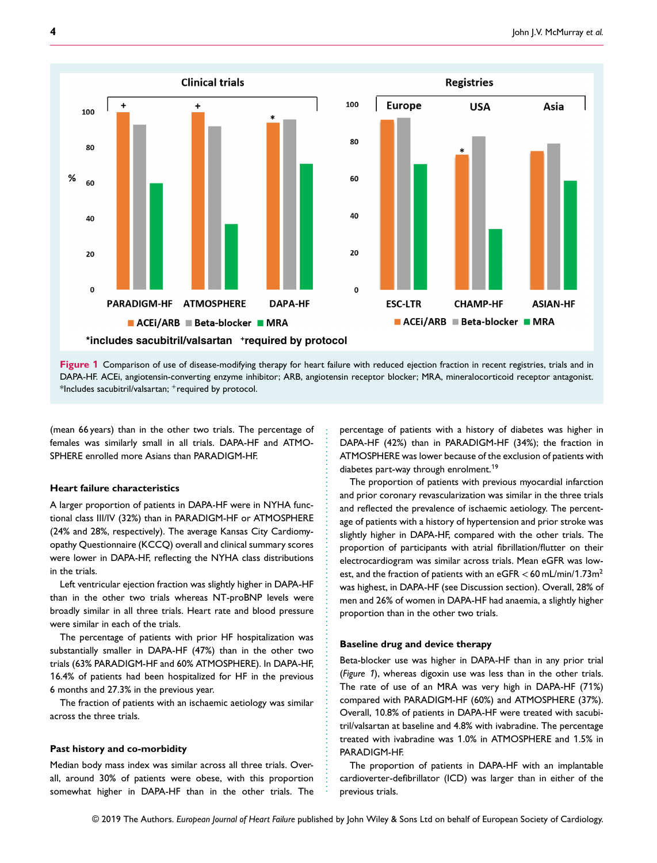



.......................................... ..........................................

(mean 66 years) than in the other two trials. The percentage of females was similarly small in all trials. DAPA-HF and ATMO-SPHERE enrolled more Asians than PARADIGM-HF.

#### **Heart failure characteristics**

A larger proportion of patients in DAPA-HF were in NYHA functional class III/IV (32%) than in PARADIGM-HF or ATMOSPHERE (24% and 28%, respectively). The average Kansas City Cardiomyopathy Questionnaire (KCCQ) overall and clinical summary scores were lower in DAPA-HF, reflecting the NYHA class distributions in the trials.

Left ventricular ejection fraction was slightly higher in DAPA-HF than in the other two trials whereas NT-proBNP levels were broadly similar in all three trials. Heart rate and blood pressure were similar in each of the trials.

The percentage of patients with prior HF hospitalization was substantially smaller in DAPA-HF (47%) than in the other two trials (63% PARADIGM-HF and 60% ATMOSPHERE). In DAPA-HF, 16.4% of patients had been hospitalized for HF in the previous 6 months and 27.3% in the previous year.

The fraction of patients with an ischaemic aetiology was similar across the three trials.

#### **Past history and co-morbidity**

Median body mass index was similar across all three trials. Overall, around 30% of patients were obese, with this proportion somewhat higher in DAPA-HF than in the other trials. The percentage of patients with a history of diabetes was higher in DAPA-HF (42%) than in PARADIGM-HF (34%); the fraction in ATMOSPHERE was lower because of the exclusion of patients with diabetes part-way through enrolment.<sup>19</sup>

The proportion of patients with previous myocardial infarction and prior coronary revascularization was similar in the three trials and reflected the prevalence of ischaemic aetiology. The percentage of patients with a history of hypertension and prior stroke was slightly higher in DAPA-HF, compared with the other trials. The proportion of participants with atrial fibrillation/flutter on their electrocardiogram was similar across trials. Mean eGFR was lowest, and the fraction of patients with an eGFR *<*60 mL/min/1.73m2 was highest, in DAPA-HF (see Discussion section). Overall, 28% of men and 26% of women in DAPA-HF had anaemia, a slightly higher proportion than in the other two trials.

#### **Baseline drug and device therapy**

Beta-blocker use was higher in DAPA-HF than in any prior trial (*Figure* 1), whereas digoxin use was less than in the other trials. The rate of use of an MRA was very high in DAPA-HF (71%) compared with PARADIGM-HF (60%) and ATMOSPHERE (37%). Overall, 10.8% of patients in DAPA-HF were treated with sacubitril/valsartan at baseline and 4.8% with ivabradine. The percentage treated with ivabradine was 1.0% in ATMOSPHERE and 1.5% in PARADIGM-HF.

The proportion of patients in DAPA-HF with an implantable cardioverter-defibrillator (ICD) was larger than in either of the previous trials.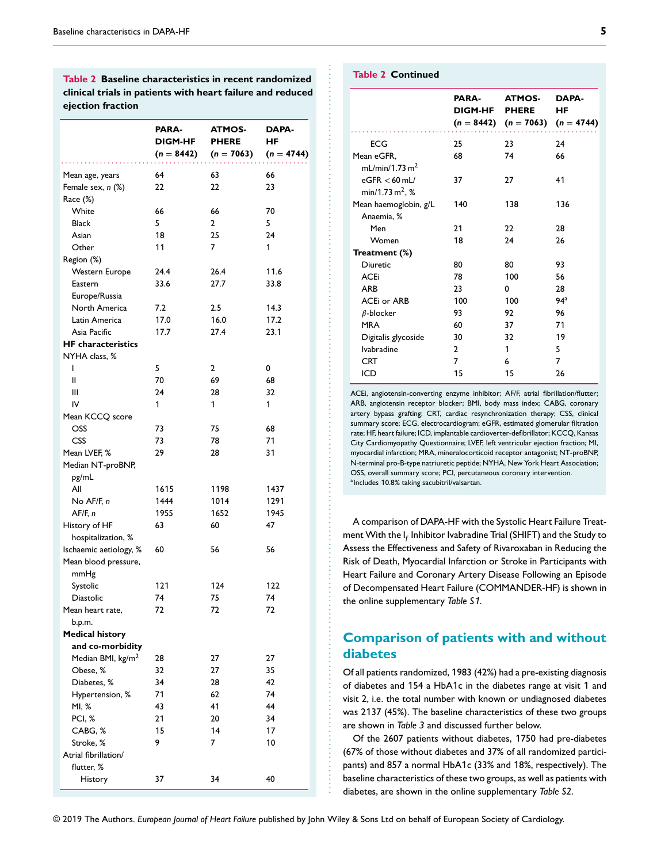|                                | PARA-<br><b>DIGM-HF</b><br>$(n = 8442)$ | ATMOS-<br><b>PHERE</b><br>$(n = 7063)$ | DAPA-<br>ΗF<br>$(n = 4744)$ |
|--------------------------------|-----------------------------------------|----------------------------------------|-----------------------------|
| Mean age, years                | 64                                      | 63                                     | 66                          |
| Female sex, n (%)              | 22                                      | 22                                     | 23                          |
| Race (%)                       |                                         |                                        |                             |
| White                          | 66                                      | 66                                     | 70                          |
| <b>Black</b>                   | 5                                       | 2                                      | 5                           |
| Asian                          | 18                                      | 25                                     | 24                          |
| Other                          | 11                                      | 7                                      | 1                           |
| Region (%)                     |                                         |                                        |                             |
| <b>Western Europe</b>          | 24.4                                    | 26.4                                   | 11.6                        |
| Eastern                        | 33.6                                    | 27.7                                   | 33.8                        |
|                                |                                         |                                        |                             |
| Europe/Russia<br>North America |                                         | 2.5                                    |                             |
|                                | 7.2                                     | 16.0                                   | 14.3                        |
| Latin America<br>Asia Pacific  | 17.0                                    | 27.4                                   | 17.2<br>23.1                |
|                                | 17.7                                    |                                        |                             |
| <b>HF</b> characteristics      |                                         |                                        |                             |
| NYHA class, %                  |                                         |                                        |                             |
| L                              | 5                                       | 2                                      | 0                           |
| Ш                              | 70                                      | 69                                     | 68                          |
| Ш                              | 24                                      | 28                                     | 32                          |
| IV                             | 1                                       | 1                                      | 1                           |
| Mean KCCQ score                |                                         |                                        |                             |
| OSS                            | 73                                      | 75                                     | 68                          |
| CSS                            | 73                                      | 78                                     | 71                          |
| Mean LVEF, %                   | 29                                      | 28                                     | 31                          |
| Median NT-proBNP,              |                                         |                                        |                             |
| pg/mL                          |                                         |                                        |                             |
| All                            | 1615                                    | 1198                                   | 1437                        |
| No AF/F, $n$                   | 1444                                    | 1014                                   | 1291                        |
| AF/F, n                        | 1955                                    | 1652                                   | 1945                        |
| History of HF                  | 63                                      | 60                                     | 47                          |
| hospitalization, %             |                                         |                                        |                             |
| Ischaemic aetiology, %         | 60                                      | 56                                     | 56                          |
| Mean blood pressure,           |                                         |                                        |                             |
| mmHg                           |                                         |                                        |                             |
| Systolic                       | 121                                     | 124                                    | 122                         |
| <b>Diastolic</b>               | 74                                      | 75                                     | 74                          |
| Mean heart rate,               | 72                                      | 72                                     | 72                          |
| b.p.m.                         |                                         |                                        |                             |
| <b>Medical history</b>         |                                         |                                        |                             |
| and co-morbidity               |                                         |                                        |                             |
| Median BMI, kg/m <sup>2</sup>  | 28                                      | 27                                     | 27                          |
| Obese, %                       | 32                                      | 27                                     | 35                          |
| Diabetes, %                    | 34                                      | 28                                     | 42                          |
| Hypertension, %                | 71                                      | 62                                     | 74                          |
| MI, %                          | 43                                      | 41                                     | 44                          |
| PCI, %                         | 21                                      | 20                                     | 34                          |
| CABG, %                        | 15                                      | 14                                     | 17                          |
| Stroke, %                      | 9                                       | 7                                      | 10                          |
| Atrial fibrillation/           |                                         |                                        |                             |
| flutter, %                     |                                         |                                        |                             |
| History                        | 37                                      | 34                                     | 40                          |
|                                |                                         |                                        |                             |

**Table 2 Baseline characteristics in recent randomized clinical trials in patients with heart failure and reduced ejection fraction**

## **Table 2 Continued**

|                             | PARA-<br>DIGM-HF | <b>ATMOS-</b><br><b>PHERE</b><br>$(n = 8442)$ $(n = 7063)$ $(n = 4744)$ | DAPA-<br>HF     |
|-----------------------------|------------------|-------------------------------------------------------------------------|-----------------|
| <b>ECG</b>                  | 25               | 23                                                                      | 24              |
| Mean eGFR,                  | 68               | 74                                                                      | 66              |
| mL/min/1.73 $m2$            |                  |                                                                         |                 |
| $eGFR < 60$ mL/             | 37               | 27                                                                      | 41              |
| min/1.73 m <sup>2</sup> , % |                  |                                                                         |                 |
| Mean haemoglobin, g/L       | 140              | 138                                                                     | 136             |
| Anaemia, %                  |                  |                                                                         |                 |
| Men                         | 21               | 22                                                                      | 28              |
| Women                       | 18               | 24                                                                      | 26              |
| Treatment (%)               |                  |                                                                         |                 |
| Diuretic                    | 80               | 80                                                                      | 93              |
| <b>ACEi</b>                 | 78               | 100                                                                     | 56              |
| <b>ARB</b>                  | 23               | 0                                                                       | 28              |
| <b>ACEi or ARB</b>          | 100              | 100                                                                     | 94 <sup>a</sup> |
| $\beta$ -blocker            | 93               | 92                                                                      | 96              |
| MRA                         | 60               | 37                                                                      | 71              |
| Digitalis glycoside         | 30               | 32                                                                      | 19              |
| <b>Ivabradine</b>           | $\mathbf{2}$     | 1                                                                       | 5               |
| <b>CRT</b>                  | 7                | 6                                                                       | 7               |
| ICD                         | 15               | 15                                                                      | 26              |

ACEi, angiotensin-converting enzyme inhibitor; AF/F, atrial fibrillation/flutter; ARB, angiotensin receptor blocker; BMI, body mass index; CABG, coronary artery bypass grafting; CRT, cardiac resynchronization therapy; CSS, clinical summary score; ECG, electrocardiogram; eGFR, estimated glomerular filtration rate; HF, heart failure; ICD, implantable cardioverter-defibrillator; KCCQ, Kansas City Cardiomyopathy Questionnaire; LVEF, left ventricular ejection fraction; MI, myocardial infarction; MRA, mineralocorticoid receptor antagonist; NT-proBNP, N-terminal pro-B-type natriuretic peptide; NYHA, New York Heart Association; OSS, overall summary score; PCI, percutaneous coronary intervention. <sup>a</sup>Includes 10.8% taking sacubitril/valsartan.

A comparison of DAPA-HF with the Systolic Heart Failure Treatment With the I<sub>f</sub> Inhibitor Ivabradine Trial (SHIFT) and the Study to Assess the Effectiveness and Safety of Rivaroxaban in Reducing the Risk of Death, Myocardial Infarction or Stroke in Participants with Heart Failure and Coronary Artery Disease Following an Episode of Decompensated Heart Failure (COMMANDER-HF) is shown in the online supplementary *Table S*1.

# **Comparison of patients with and without diabetes**

Of all patients randomized, 1983 (42%) had a pre-existing diagnosis of diabetes and 154 a HbA1c in the diabetes range at visit 1 and visit 2, i.e. the total number with known or undiagnosed diabetes was 2137 (45%). The baseline characteristics of these two groups are shown in *Table 3* and discussed further below.

Of the 2607 patients without diabetes, 1750 had pre-diabetes (67% of those without diabetes and 37% of all randomized participants) and 857 a normal HbA1c (33% and 18%, respectively). The baseline characteristics of these two groups, as well as patients with diabetes, are shown in the online supplementary *Table S2*.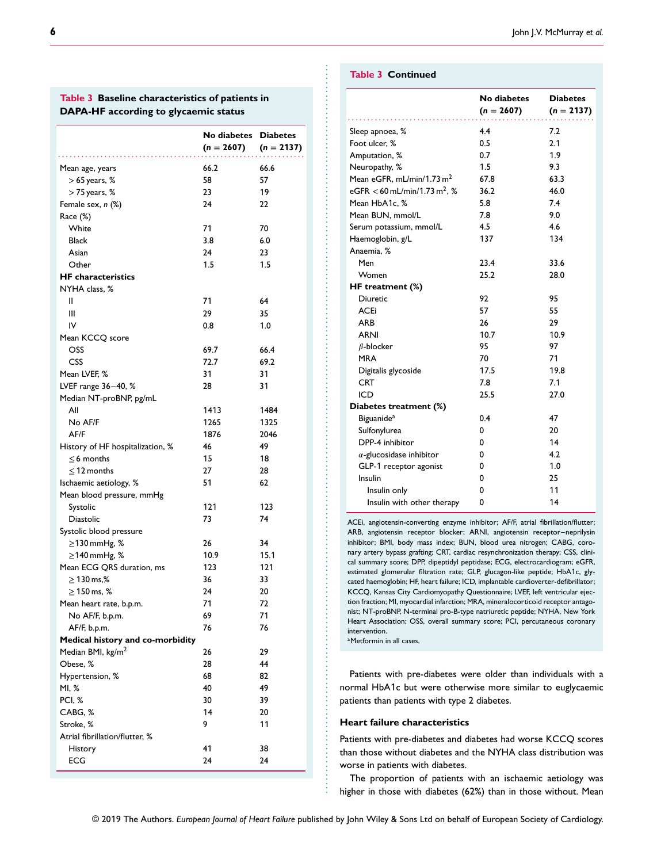## **Table 3 Baseline characteristics of patients in DAPA-HF according to glycaemic status**

|                                  | No diabetes Diabetes<br>$(n = 2607)$ | $(n = 2137)$ |
|----------------------------------|--------------------------------------|--------------|
| Mean age, years                  | 66.2                                 | 66.6         |
| $>$ 65 years, $%$                | 58                                   | 57           |
| $>$ 75 years, $\%$               | 23                                   | 19           |
| Female sex, n (%)                | 24                                   | 22           |
| Race (%)                         |                                      |              |
| White                            | 71                                   | 70           |
| <b>Black</b>                     | 3.8                                  | 6.0          |
| Asian                            | 24                                   | 23           |
| Other                            | 1.5                                  | 1.5          |
| <b>HF</b> characteristics        |                                      |              |
| NYHA class, %                    |                                      |              |
| Ш                                | 71                                   | 64           |
| Ш                                | 29                                   | 35           |
| I۷                               | 0.8                                  | 1.0          |
| Mean KCCQ score                  |                                      |              |
| OSS                              | 69.7                                 | 66.4         |
| CSS                              | 72.7                                 | 69.2         |
| Mean LVEF, %                     | 31                                   | 31           |
| LVEF range 36-40, %              | 28                                   | 31           |
| Median NT-proBNP, pg/mL          |                                      |              |
| All                              | 1413                                 | 1484         |
| No AF/F                          | 1265                                 | 1325         |
| AF/F                             | 1876                                 | 2046         |
| History of HF hospitalization, % | 46                                   | 49           |
| $\leq$ 6 months                  | 15                                   | 18           |
| $\leq$ 12 months                 | 27                                   | 28           |
| lschaemic aetiology, %           | 51                                   | 62           |
| Mean blood pressure, mmHg        |                                      |              |
| Systolic                         | 121                                  | 123          |
| Diastolic                        | 73                                   | 74           |
| Systolic blood pressure          |                                      |              |
| ≥130 mmHg, %                     | 26                                   | 34           |
| ≥140 mmHg, %                     | 10.9                                 | 15.1         |
| Mean ECG QRS duration, ms        | 123                                  | 121          |
| ≥ 130 ms,%                       | 36                                   | 33           |
| $\geq$ 150 ms, %                 | 24                                   | 20           |
| Mean heart rate, b.p.m.          | 71                                   | 72           |
| No AF/F, b.p.m.                  | 69                                   | 71           |
| AF/F, b.p.m.                     | 76                                   | 76           |
| Medical history and co-morbidity |                                      |              |
| Median BMI, kg/m <sup>2</sup>    | 26                                   | 29           |
| Obese, %                         | 28                                   | 44           |
| Hypertension, %                  | 68                                   | 82           |
| MI, %                            | 40                                   | 49           |
| PCI, %                           | 30                                   | 39           |
| CABG, %                          | 14                                   | 20           |
| Stroke, %                        | 9                                    | 11           |
| Atrial fibrillation/flutter, %   |                                      |              |
| History                          | 41                                   | 38           |
| ECG                              | 24                                   | 24           |
|                                  |                                      |              |

## **Table 3 Continued**

|                                          | No diabetes<br>$(n = 2607)$ | <b>Diabetes</b><br>$(n = 2137)$ |
|------------------------------------------|-----------------------------|---------------------------------|
| .<br>Sleep apnoea, %                     | 4.4                         | 7.2                             |
| Foot ulcer, %                            | 0.5                         | 2.1                             |
| Amputation, %                            | 0.7                         | 1.9                             |
| Neuropathy, %                            | 1.5                         | 9.3                             |
| Mean eGFR, mL/min/1.73 m <sup>2</sup>    | 67.8                        | 63.3                            |
| eGFR < 60 mL/min/1.73 m <sup>2</sup> , % | 36.2                        | 46.0                            |
| Mean HbA1c, %                            | 5.8                         | 7.4                             |
| Mean BUN, mmol/L                         | 7.8                         | 9.0                             |
| Serum potassium, mmol/L                  | 4.5                         | 4.6                             |
| Haemoglobin, g/L                         | 137                         | 134                             |
| Anaemia, %                               |                             |                                 |
| Men                                      | 23.4                        | 33.6                            |
| Women                                    | 25.2                        | 28.0                            |
| HF treatment (%)                         |                             |                                 |
| Diuretic                                 | 92                          | 95                              |
| <b>ACEi</b>                              | 57                          | 55                              |
| <b>ARB</b>                               | 26                          | 29                              |
| <b>ARNI</b>                              | 10.7                        | 10.9                            |
| $\beta$ -blocker                         | 95                          | 97                              |
| <b>MRA</b>                               | 70                          | 71                              |
| Digitalis glycoside                      | 17.5                        | 19.8                            |
| <b>CRT</b>                               | 7.8                         | 7.1                             |
| ICD                                      | 25.5                        | 27.0                            |
| Diabetes treatment (%)                   |                             |                                 |
| Biguanide <sup>a</sup>                   | 0.4                         | 47                              |
| Sulfonylurea                             | 0                           | 20                              |
| DPP-4 inhibitor                          | 0                           | 14                              |
| $\alpha$ -glucosidase inhibitor          | 0                           | 4.2                             |
| GLP-1 receptor agonist                   | 0                           | 1.0                             |
| Insulin                                  | 0                           | 25                              |
| Insulin only                             | 0                           | 11                              |
| Insulin with other therapy               | 0                           | 14                              |

ACEi, angiotensin-converting enzyme inhibitor; AF/F, atrial fibrillation/flutter; ARB, angiotensin receptor blocker; ARNI, angiotensin receptor–neprilysin inhibitor; BMI, body mass index; BUN, blood urea nitrogen; CABG, coronary artery bypass grafting; CRT, cardiac resynchronization therapy; CSS, clinical summary score; DPP, dipeptidyl peptidase; ECG, electrocardiogram; eGFR, estimated glomerular filtration rate; GLP, glucagon-like peptide; HbA1c, glycated haemoglobin; HF, heart failure; ICD, implantable cardioverter-defibrillator; KCCQ, Kansas City Cardiomyopathy Questionnaire; LVEF, left ventricular ejection fraction; MI, myocardial infarction; MRA, mineralocorticoid receptor antagonist; NT-proBNP, N-terminal pro-B-type natriuretic peptide; NYHA, New York Heart Association; OSS, overall summary score; PCI, percutaneous coronary intervention.

<sup>a</sup>Metformin in all cases.

Patients with pre-diabetes were older than individuals with a normal HbA1c but were otherwise more similar to euglycaemic patients than patients with type 2 diabetes.

#### **Heart failure characteristics**

Patients with pre-diabetes and diabetes had worse KCCQ scores than those without diabetes and the NYHA class distribution was worse in patients with diabetes.

The proportion of patients with an ischaemic aetiology was higher in those with diabetes (62%) than in those without. Mean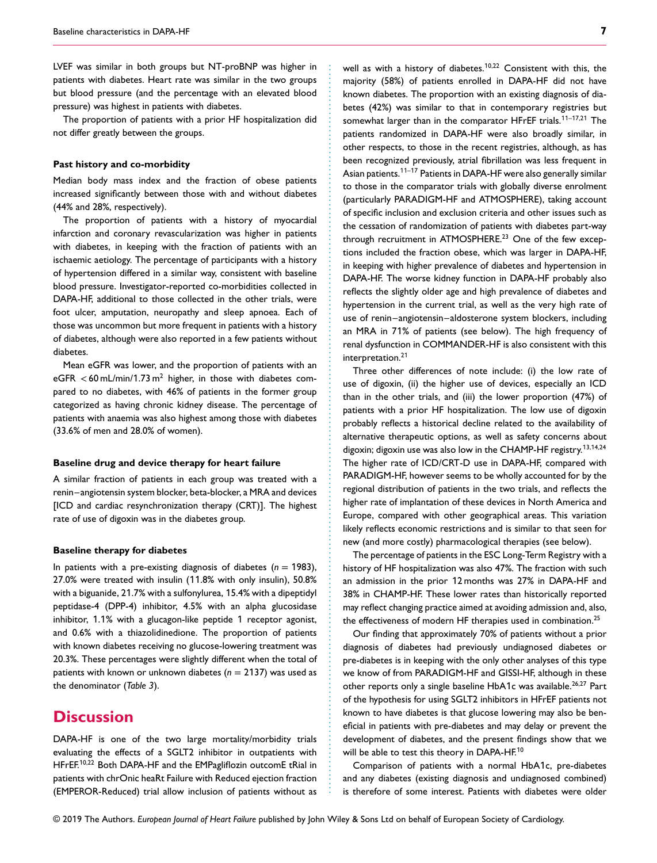LVEF was similar in both groups but NT-proBNP was higher in patients with diabetes. Heart rate was similar in the two groups but blood pressure (and the percentage with an elevated blood pressure) was highest in patients with diabetes.

The proportion of patients with a prior HF hospitalization did not differ greatly between the groups.

#### **Past history and co-morbidity**

Median body mass index and the fraction of obese patients increased significantly between those with and without diabetes (44% and 28%, respectively).

The proportion of patients with a history of myocardial infarction and coronary revascularization was higher in patients with diabetes, in keeping with the fraction of patients with an ischaemic aetiology. The percentage of participants with a history of hypertension differed in a similar way, consistent with baseline blood pressure. Investigator-reported co-morbidities collected in DAPA-HF, additional to those collected in the other trials, were foot ulcer, amputation, neuropathy and sleep apnoea. Each of those was uncommon but more frequent in patients with a history of diabetes, although were also reported in a few patients without diabetes.

Mean eGFR was lower, and the proportion of patients with an eGFR < 60 mL/min/1.73 m<sup>2</sup> higher, in those with diabetes compared to no diabetes, with 46% of patients in the former group categorized as having chronic kidney disease. The percentage of patients with anaemia was also highest among those with diabetes (33.6% of men and 28.0% of women).

#### **Baseline drug and device therapy for heart failure**

A similar fraction of patients in each group was treated with a renin–angiotensin system blocker, beta-blocker, a MRA and devices [ICD and cardiac resynchronization therapy (CRT)]. The highest rate of use of digoxin was in the diabetes group.

#### **Baseline therapy for diabetes**

In patients with a pre-existing diagnosis of diabetes  $(n = 1983)$ , 27.0% were treated with insulin (11.8% with only insulin), 50.8% with a biguanide, 21.7% with a sulfonylurea, 15.4% with a dipeptidyl peptidase-4 (DPP-4) inhibitor, 4.5% with an alpha glucosidase inhibitor, 1.1% with a glucagon-like peptide 1 receptor agonist, and 0.6% with a thiazolidinedione. The proportion of patients with known diabetes receiving no glucose-lowering treatment was 20.3%. These percentages were slightly different when the total of patients with known or unknown diabetes (*n* = 2137) was used as the denominator (*Table 3*).

## **Discussion**

DAPA-HF is one of the two large mortality/morbidity trials evaluating the effects of a SGLT2 inhibitor in outpatients with HFrEF.<sup>10,22</sup> Both DAPA-HF and the EMPagliflozin outcomE tRial in patients with chrOnic heaRt Failure with Reduced ejection fraction (EMPEROR-Reduced) trial allow inclusion of patients without as well as with a history of diabetes.<sup>10,22</sup> Consistent with this, the majority (58%) of patients enrolled in DAPA-HF did not have known diabetes. The proportion with an existing diagnosis of diabetes (42%) was similar to that in contemporary registries but somewhat larger than in the comparator HFrEF trials.<sup>11-17,21</sup> The patients randomized in DAPA-HF were also broadly similar, in other respects, to those in the recent registries, although, as has been recognized previously, atrial fibrillation was less frequent in Asian patients.<sup>11-17</sup> Patients in DAPA-HF were also generally similar to those in the comparator trials with globally diverse enrolment (particularly PARADIGM-HF and ATMOSPHERE), taking account of specific inclusion and exclusion criteria and other issues such as the cessation of randomization of patients with diabetes part-way through recruitment in ATMOSPHERE.<sup>23</sup> One of the few exceptions included the fraction obese, which was larger in DAPA-HF, in keeping with higher prevalence of diabetes and hypertension in DAPA-HF. The worse kidney function in DAPA-HF probably also reflects the slightly older age and high prevalence of diabetes and hypertension in the current trial, as well as the very high rate of use of renin–angiotensin–aldosterone system blockers, including an MRA in 71% of patients (see below). The high frequency of renal dysfunction in COMMANDER-HF is also consistent with this interpretation.<sup>21</sup>

Three other differences of note include: (i) the low rate of use of digoxin, (ii) the higher use of devices, especially an ICD than in the other trials, and (iii) the lower proportion (47%) of patients with a prior HF hospitalization. The low use of digoxin probably reflects a historical decline related to the availability of alternative therapeutic options, as well as safety concerns about digoxin; digoxin use was also low in the CHAMP-HF registry.<sup>13,14,24</sup> The higher rate of ICD/CRT-D use in DAPA-HF, compared with PARADIGM-HF, however seems to be wholly accounted for by the regional distribution of patients in the two trials, and reflects the higher rate of implantation of these devices in North America and Europe, compared with other geographical areas. This variation likely reflects economic restrictions and is similar to that seen for new (and more costly) pharmacological therapies (see below).

The percentage of patients in the ESC Long-Term Registry with a history of HF hospitalization was also 47%. The fraction with such an admission in the prior 12 months was 27% in DAPA-HF and 38% in CHAMP-HF. These lower rates than historically reported may reflect changing practice aimed at avoiding admission and, also, the effectiveness of modern HF therapies used in combination.<sup>25</sup>

Our finding that approximately 70% of patients without a prior diagnosis of diabetes had previously undiagnosed diabetes or pre-diabetes is in keeping with the only other analyses of this type we know of from PARADIGM-HF and GISSI-HF, although in these other reports only a single baseline HbA1c was available.<sup>26,27</sup> Part of the hypothesis for using SGLT2 inhibitors in HFrEF patients not known to have diabetes is that glucose lowering may also be beneficial in patients with pre-diabetes and may delay or prevent the development of diabetes, and the present findings show that we will be able to test this theory in DAPA-HF.<sup>10</sup>

Comparison of patients with a normal HbA1c, pre-diabetes and any diabetes (existing diagnosis and undiagnosed combined) is therefore of some interest. Patients with diabetes were older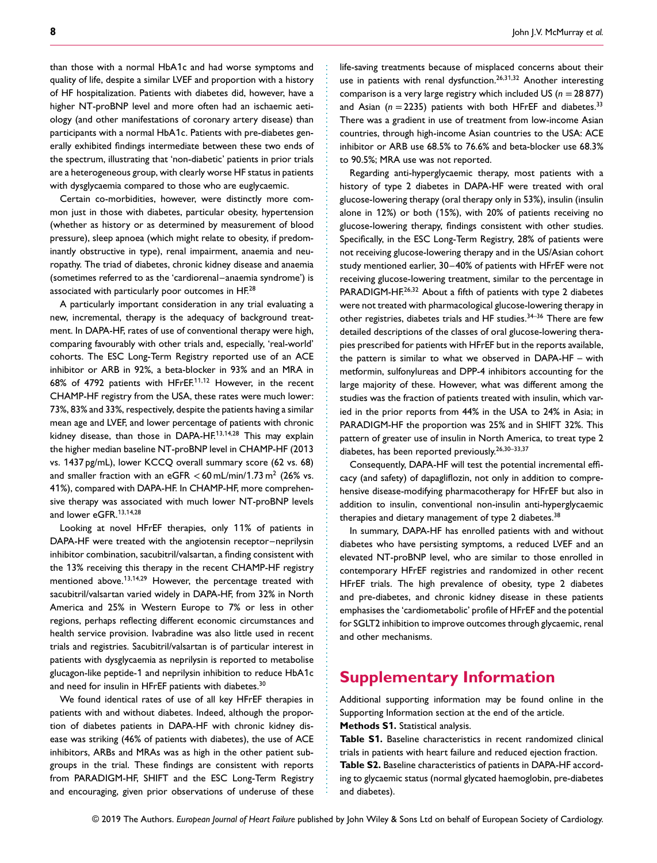than those with a normal HbA1c and had worse symptoms and quality of life, despite a similar LVEF and proportion with a history of HF hospitalization. Patients with diabetes did, however, have a higher NT-proBNP level and more often had an ischaemic aetiology (and other manifestations of coronary artery disease) than participants with a normal HbA1c. Patients with pre-diabetes generally exhibited findings intermediate between these two ends of the spectrum, illustrating that 'non-diabetic' patients in prior trials are a heterogeneous group, with clearly worse HF status in patients with dysglycaemia compared to those who are euglycaemic.

Certain co-morbidities, however, were distinctly more common just in those with diabetes, particular obesity, hypertension (whether as history or as determined by measurement of blood pressure), sleep apnoea (which might relate to obesity, if predominantly obstructive in type), renal impairment, anaemia and neuropathy. The triad of diabetes, chronic kidney disease and anaemia (sometimes referred to as the 'cardiorenal–anaemia syndrome') is associated with particularly poor outcomes in HF.<sup>28</sup>

A particularly important consideration in any trial evaluating a new, incremental, therapy is the adequacy of background treatment. In DAPA-HF, rates of use of conventional therapy were high, comparing favourably with other trials and, especially, 'real-world' cohorts. The ESC Long-Term Registry reported use of an ACE inhibitor or ARB in 92%, a beta-blocker in 93% and an MRA in 68% of 4792 patients with HFrEF.<sup>11</sup>,1<sup>2</sup> However, in the recent CHAMP-HF registry from the USA, these rates were much lower: 73%, 83% and 33%, respectively, despite the patients having a similar mean age and LVEF, and lower percentage of patients with chronic kidney disease, than those in DAPA-HF.<sup>13,14,28</sup> This may explain the higher median baseline NT-proBNP level in CHAMP-HF (2013 vs. 1437 pg/mL), lower KCCQ overall summary score (62 vs. 68) and smaller fraction with an eGFR < 60 mL/min/1.73 m<sup>2</sup> (26% vs. 41%), compared with DAPA-HF. In CHAMP-HF, more comprehensive therapy was associated with much lower NT-proBNP levels and lower eGFR.<sup>1</sup>3,14,28

Looking at novel HFrEF therapies, only 11% of patients in DAPA-HF were treated with the angiotensin receptor–neprilysin inhibitor combination, sacubitril/valsartan, a finding consistent with the 13% receiving this therapy in the recent CHAMP-HF registry mentioned above.<sup>13,14,29</sup> However, the percentage treated with sacubitril/valsartan varied widely in DAPA-HF, from 32% in North America and 25% in Western Europe to 7% or less in other regions, perhaps reflecting different economic circumstances and health service provision. Ivabradine was also little used in recent trials and registries. Sacubitril/valsartan is of particular interest in patients with dysglycaemia as neprilysin is reported to metabolise glucagon-like peptide-1 and neprilysin inhibition to reduce HbA1c and need for insulin in HFrEF patients with diabetes.<sup>30</sup>

We found identical rates of use of all key HFrEF therapies in patients with and without diabetes. Indeed, although the proportion of diabetes patients in DAPA-HF with chronic kidney disease was striking (46% of patients with diabetes), the use of ACE inhibitors, ARBs and MRAs was as high in the other patient subgroups in the trial. These findings are consistent with reports from PARADIGM-HF, SHIFT and the ESC Long-Term Registry and encouraging, given prior observations of underuse of these life-saving treatments because of misplaced concerns about their use in patients with renal dysfunction.<sup>26,31,32</sup> Another interesting comparison is a very large registry which included US (*n* =28 877) and Asian  $(n = 2235)$  patients with both HFrEF and diabetes.<sup>33</sup> There was a gradient in use of treatment from low-income Asian countries, through high-income Asian countries to the USA: ACE inhibitor or ARB use 68.5% to 76.6% and beta-blocker use 68.3% to 90.5%; MRA use was not reported.

Regarding anti-hyperglycaemic therapy, most patients with a history of type 2 diabetes in DAPA-HF were treated with oral glucose-lowering therapy (oral therapy only in 53%), insulin (insulin alone in 12%) or both (15%), with 20% of patients receiving no glucose-lowering therapy, findings consistent with other studies. Specifically, in the ESC Long-Term Registry, 28% of patients were not receiving glucose-lowering therapy and in the US/Asian cohort study mentioned earlier, 30–40% of patients with HFrEF were not receiving glucose-lowering treatment, similar to the percentage in PARADIGM-HF.<sup>26,32</sup> About a fifth of patients with type 2 diabetes were not treated with pharmacological glucose-lowering therapy in other registries, diabetes trials and HF studies.<sup>34-36</sup> There are few detailed descriptions of the classes of oral glucose-lowering therapies prescribed for patients with HFrEF but in the reports available, the pattern is similar to what we observed in DAPA-HF – with metformin, sulfonylureas and DPP-4 inhibitors accounting for the large majority of these. However, what was different among the studies was the fraction of patients treated with insulin, which varied in the prior reports from 44% in the USA to 24% in Asia; in PARADIGM-HF the proportion was 25% and in SHIFT 32%. This pattern of greater use of insulin in North America, to treat type 2 diabetes, has been reported previously.<sup>26,30-33,37</sup>

Consequently, DAPA-HF will test the potential incremental efficacy (and safety) of dapagliflozin, not only in addition to comprehensive disease-modifying pharmacotherapy for HFrEF but also in addition to insulin, conventional non-insulin anti-hyperglycaemic therapies and dietary management of type 2 diabetes. $38$ 

In summary, DAPA-HF has enrolled patients with and without diabetes who have persisting symptoms, a reduced LVEF and an elevated NT-proBNP level, who are similar to those enrolled in contemporary HFrEF registries and randomized in other recent HFrEF trials. The high prevalence of obesity, type 2 diabetes and pre-diabetes, and chronic kidney disease in these patients emphasises the 'cardiometabolic' profile of HFrEF and the potential for SGLT2 inhibition to improve outcomes through glycaemic, renal and other mechanisms.

# **Supplementary Information**

Additional supporting information may be found online in the Supporting Information section at the end of the article. **Methods S1.** Statistical analysis.

**Table S1.** Baseline characteristics in recent randomized clinical trials in patients with heart failure and reduced ejection fraction. **Table S2.** Baseline characteristics of patients in DAPA-HF according to glycaemic status (normal glycated haemoglobin, pre-diabetes and diabetes).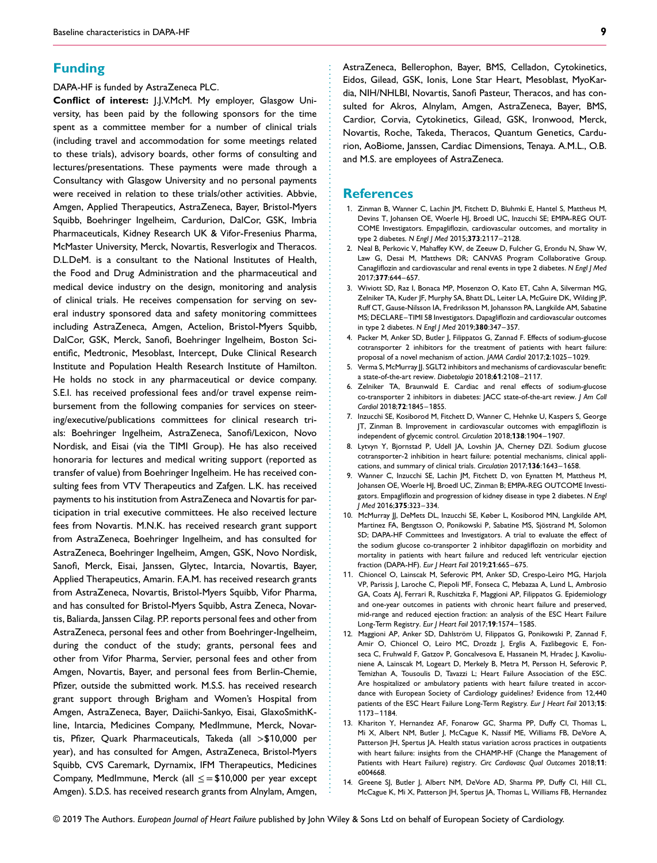## **Funding**

#### DAPA-HF is funded by AstraZeneca PLC.

**Conflict of interest:** J.J.V.McM. My employer, Glasgow University, has been paid by the following sponsors for the time spent as a committee member for a number of clinical trials (including travel and accommodation for some meetings related to these trials), advisory boards, other forms of consulting and lectures/presentations. These payments were made through a Consultancy with Glasgow University and no personal payments were received in relation to these trials/other activities. Abbvie, Amgen, Applied Therapeutics, AstraZeneca, Bayer, Bristol-Myers Squibb, Boehringer Ingelheim, Cardurion, DalCor, GSK, Imbria Pharmaceuticals, Kidney Research UK & Vifor-Fresenius Pharma, McMaster University, Merck, Novartis, Resverlogix and Theracos. D.L.DeM. is a consultant to the National Institutes of Health, the Food and Drug Administration and the pharmaceutical and medical device industry on the design, monitoring and analysis of clinical trials. He receives compensation for serving on several industry sponsored data and safety monitoring committees including AstraZeneca, Amgen, Actelion, Bristol-Myers Squibb, DalCor, GSK, Merck, Sanofi, Boehringer Ingelheim, Boston Scientific, Medtronic, Mesoblast, Intercept, Duke Clinical Research Institute and Population Health Research Institute of Hamilton. He holds no stock in any pharmaceutical or device company. S.E.I. has received professional fees and/or travel expense reimbursement from the following companies for services on steering/executive/publications committees for clinical research trials: Boehringer Ingelheim, AstraZeneca, Sanofi/Lexicon, Novo Nordisk, and Eisai (via the TIMI Group). He has also received honoraria for lectures and medical writing support (reported as transfer of value) from Boehringer Ingelheim. He has received consulting fees from VTV Therapeutics and Zafgen. L.K. has received payments to his institution from AstraZeneca and Novartis for participation in trial executive committees. He also received lecture fees from Novartis. M.N.K. has received research grant support from AstraZeneca, Boehringer Ingelheim, and has consulted for AstraZeneca, Boehringer Ingelheim, Amgen, GSK, Novo Nordisk, Sanofi, Merck, Eisai, Janssen, Glytec, Intarcia, Novartis, Bayer, Applied Therapeutics, Amarin. F.A.M. has received research grants from AstraZeneca, Novartis, Bristol-Myers Squibb, Vifor Pharma, and has consulted for Bristol-Myers Squibb, Astra Zeneca, Novartis, Baliarda, Janssen Cilag. P.P. reports personal fees and other from AstraZeneca, personal fees and other from Boehringer-Ingelheim, during the conduct of the study; grants, personal fees and other from Vifor Pharma, Servier, personal fees and other from Amgen, Novartis, Bayer, and personal fees from Berlin-Chemie, Pfizer, outside the submitted work. M.S.S. has received research grant support through Brigham and Women's Hospital from Amgen, AstraZeneca, Bayer, Daiichi-Sankyo, Eisai, GlaxoSmithKline, Intarcia, Medicines Company, MedImmune, Merck, Novartis, Pfizer, Quark Pharmaceuticals, Takeda (all *>*\$10,000 per year), and has consulted for Amgen, AstraZeneca, Bristol-Myers Squibb, CVS Caremark, Dyrnamix, IFM Therapeutics, Medicines Company, MedImmune, Merck (all ≤=\$10,000 per year except Amgen). S.D.S. has received research grants from Alnylam, Amgen, AstraZeneca, Bellerophon, Bayer, BMS, Celladon, Cytokinetics, Eidos, Gilead, GSK, Ionis, Lone Star Heart, Mesoblast, MyoKardia, NIH/NHLBI, Novartis, Sanofi Pasteur, Theracos, and has consulted for Akros, Alnylam, Amgen, AstraZeneca, Bayer, BMS, Cardior, Corvia, Cytokinetics, Gilead, GSK, Ironwood, Merck, Novartis, Roche, Takeda, Theracos, Quantum Genetics, Cardurion, AoBiome, Janssen, Cardiac Dimensions, Tenaya. A.M.L., O.B. and M.S. are employees of AstraZeneca.

## **References**

- 1. Zinman B, Wanner C, Lachin JM, Fitchett D, Bluhmki E, Hantel S, Mattheus M, Devins T, Johansen OE, Woerle HJ, Broedl UC, Inzucchi SE; EMPA-REG OUT-COME Investigators. Empagliflozin, cardiovascular outcomes, and mortality in type 2 diabetes. *N Engl J Med* 2015;**373**:2117–2128.
- 2. Neal B, Perkovic V, Mahaffey KW, de Zeeuw D, Fulcher G, Erondu N, Shaw W, Law G, Desai M, Matthews DR; CANVAS Program Collaborative Group. Canagliflozin and cardiovascular and renal events in type 2 diabetes. *N Engl J Med* 2017;**377**:644–657.
- 3. Wiviott SD, Raz I, Bonaca MP, Mosenzon O, Kato ET, Cahn A, Silverman MG, Zelniker TA, Kuder JF, Murphy SA, Bhatt DL, Leiter LA, McGuire DK, Wilding JP, Ruff CT, Gause-Nilsson IA, Fredriksson M, Johansson PA, Langkilde AM, Sabatine MS; DECLARE–TIMI 58 Investigators. Dapagliflozin and cardiovascular outcomes in type 2 diabetes. *N Engl J Med* 2019;**380**:347–357.
- 4. Packer M, Anker SD, Butler J, Filippatos G, Zannad F. Effects of sodium-glucose cotransporter 2 inhibitors for the treatment of patients with heart failure: proposal of a novel mechanism of action. *JAMA Cardiol* 2017;**2**:1025–1029.
- 5. Verma S, McMurray JJ. SGLT2 inhibitors and mechanisms of cardiovascular benefit: a state-of-the-art review. *Diabetologia* 2018;**61**:2108–2117.
- 6. Zelniker TA, Braunwald E. Cardiac and renal effects of sodium-glucose co-transporter 2 inhibitors in diabetes: JACC state-of-the-art review. *J Am Coll Cardiol* 2018;**72**:1845–1855.
- 7. Inzucchi SE, Kosiborod M, Fitchett D, Wanner C, Hehnke U, Kaspers S, George JT, Zinman B. Improvement in cardiovascular outcomes with empagliflozin is independent of glycemic control. *Circulation* 2018;**138**:1904–1907.
- 8. Lytvyn Y, Bjornstad P, Udell JA, Lovshin JA, Cherney DZI. Sodium glucose cotransporter-2 inhibition in heart failure: potential mechanisms, clinical applications, and summary of clinical trials. *Circulation* 2017;**136**:1643–1658.
- 9. Wanner C, Inzucchi SE, Lachin JM, Fitchett D, von Eynatten M, Mattheus M, Johansen OE, Woerle HJ, Broedl UC, Zinman B; EMPA-REG OUTCOME Investigators. Empagliflozin and progression of kidney disease in type 2 diabetes. *N Engl J Med* 2016;**375**:323–334.
- 10. McMurray JJ, DeMets DL, Inzucchi SE, Køber L, Kosiborod MN, Langkilde AM, Martinez FA, Bengtsson O, Ponikowski P, Sabatine MS, Sjöstrand M, Solomon SD; DAPA-HF Committees and Investigators. A trial to evaluate the effect of the sodium glucose co-transporter 2 inhibitor dapagliflozin on morbidity and mortality in patients with heart failure and reduced left ventricular ejection fraction (DAPA-HF). *Eur J Heart Fail* 2019;**21**:665–675.
- 11. Chioncel O, Lainscak M, Seferovic PM, Anker SD, Crespo-Leiro MG, Harjola VP, Parissis J, Laroche C, Piepoli MF, Fonseca C, Mebazaa A, Lund L, Ambrosio GA, Coats AJ, Ferrari R, Ruschitzka F, Maggioni AP, Filippatos G. Epidemiology and one-year outcomes in patients with chronic heart failure and preserved, mid-range and reduced ejection fraction: an analysis of the ESC Heart Failure Long-Term Registry. *Eur J Heart Fail* 2017;**19**:1574–1585.
- 12. Maggioni AP, Anker SD, Dahlström U, Filippatos G, Ponikowski P, Zannad F, Amir O, Chioncel O, Leiro MC, Drozdz J, Erglis A, Fazlibegovic E, Fonseca C, Fruhwald F, Gatzov P, Goncalvesova E, Hassanein M, Hradec J, Kavoliuniene A, Lainscak M, Logeart D, Merkely B, Metra M, Persson H, Seferovic P, Temizhan A, Tousoulis D, Tavazzi L; Heart Failure Association of the ESC. Are hospitalized or ambulatory patients with heart failure treated in accordance with European Society of Cardiology guidelines? Evidence from 12,440 patients of the ESC Heart Failure Long-Term Registry. *Eur J Heart Fail* 2013;**15**: 1173–1184.
- 13. Khariton Y, Hernandez AF, Fonarow GC, Sharma PP, Duffy CI, Thomas L, Mi X, Albert NM, Butler J, McCague K, Nassif ME, Williams FB, DeVore A, Patterson JH, Spertus JA. Health status variation across practices in outpatients with heart failure: insights from the CHAMP-HF (Change the Management of Patients with Heart Failure) registry. *Circ Cardiovasc Qual Outcomes* 2018;**11**: e004668.
- 14. Greene SJ, Butler J, Albert NM, DeVore AD, Sharma PP, Duffy CI, Hill CL, McCague K, Mi X, Patterson JH, Spertus JA, Thomas L, Williams FB, Hernandez